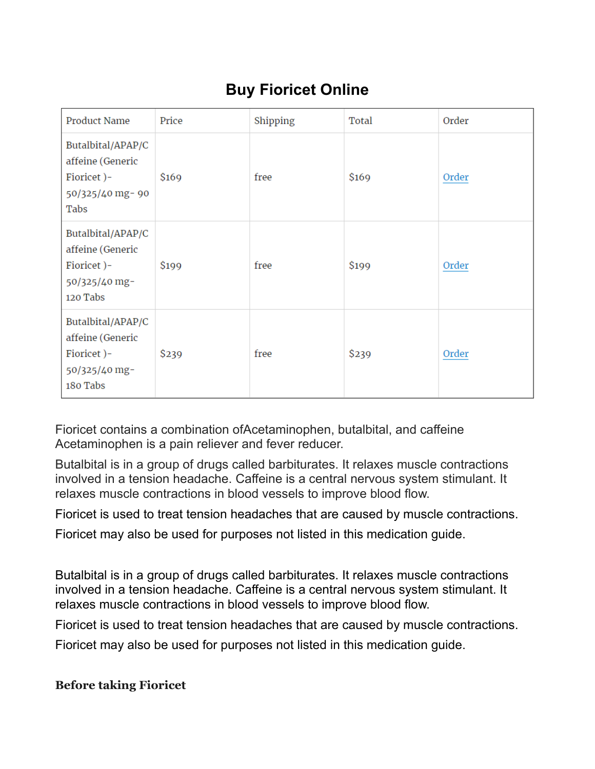# **Buy Fioricet Online**

| <b>Product Name</b>                                                              | Price | Shipping | Total | Order |
|----------------------------------------------------------------------------------|-------|----------|-------|-------|
| Butalbital/APAP/C<br>affeine (Generic<br>Fioricet)-<br>50/325/40 mg-90<br>Tabs   | \$169 | free     | \$169 | Order |
| Butalbital/APAP/C<br>affeine (Generic<br>Fioricet)-<br>50/325/40 mg-<br>120 Tabs | \$199 | free     | \$199 | Order |
| Butalbital/APAP/C<br>affeine (Generic<br>Fioricet)-<br>50/325/40 mg-<br>180 Tabs | \$239 | free     | \$239 | Order |

Fioricet contains a combination ofAcetaminophen, butalbital, and caffeine Acetaminophen is a pain reliever and fever reducer.

Butalbital is in a group of drugs called barbiturates. It relaxes muscle contractions involved in a tension headache. Caffeine is a central nervous system stimulant. It relaxes muscle contractions in blood vessels to improve blood flow.

Fioricet is used to treat tension headaches that are caused by muscle contractions.

Fioricet may also be used for purposes not listed in this medication guide.

Butalbital is in a group of drugs called barbiturates. It relaxes muscle contractions involved in a tension headache. Caffeine is a central nervous system stimulant. It relaxes muscle contractions in blood vessels to improve blood flow.

Fioricet is used to treat tension headaches that are caused by muscle contractions.

Fioricet may also be used for purposes not listed in this medication guide.

### **Before taking Fioricet**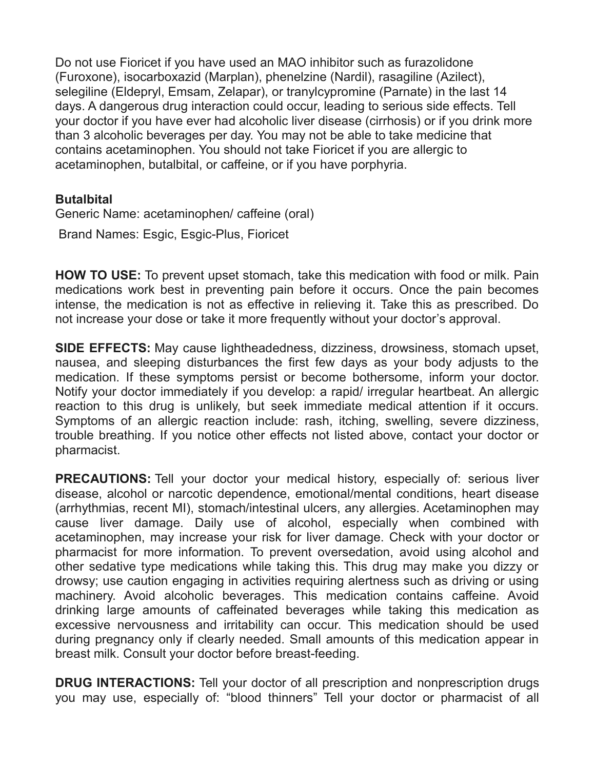Do not use Fioricet if you have used an MAO inhibitor such as furazolidone (Furoxone), isocarboxazid (Marplan), phenelzine (Nardil), rasagiline (Azilect), selegiline (Eldepryl, Emsam, Zelapar), or tranylcypromine (Parnate) in the last 14 days. A dangerous drug interaction could occur, leading to serious side effects. Tell your doctor if you have ever had alcoholic liver disease (cirrhosis) or if you drink more than 3 alcoholic beverages per day. You may not be able to take medicine that contains acetaminophen. You should not take Fioricet if you are allergic to acetaminophen, butalbital, or caffeine, or if you have porphyria.

### **Butalbital**

Generic Name: acetaminophen/ caffeine (oral)

Brand Names: Esgic, Esgic-Plus, Fioricet

**HOW TO USE:** To prevent upset stomach, take this medication with food or milk. Pain medications work best in preventing pain before it occurs. Once the pain becomes intense, the medication is not as effective in relieving it. Take this as prescribed. Do not increase your dose or take it more frequently without your doctor's approval.

**SIDE EFFECTS:** May cause lightheadedness, dizziness, drowsiness, stomach upset, nausea, and sleeping disturbances the first few days as your body adjusts to the medication. If these symptoms persist or become bothersome, inform your doctor. Notify your doctor immediately if you develop: a rapid/ irregular heartbeat. An allergic reaction to this drug is unlikely, but seek immediate medical attention if it occurs. Symptoms of an allergic reaction include: rash, itching, swelling, severe dizziness, trouble breathing. If you notice other effects not listed above, contact your doctor or pharmacist.

**PRECAUTIONS:** Tell your doctor your medical history, especially of: serious liver disease, alcohol or narcotic dependence, emotional/mental conditions, heart disease (arrhythmias, recent MI), stomach/intestinal ulcers, any allergies. Acetaminophen may cause liver damage. Daily use of alcohol, especially when combined with acetaminophen, may increase your risk for liver damage. Check with your doctor or pharmacist for more information. To prevent oversedation, avoid using alcohol and other sedative type medications while taking this. This drug may make you dizzy or drowsy; use caution engaging in activities requiring alertness such as driving or using machinery. Avoid alcoholic beverages. This medication contains caffeine. Avoid drinking large amounts of caffeinated beverages while taking this medication as excessive nervousness and irritability can occur. This medication should be used during pregnancy only if clearly needed. Small amounts of this medication appear in breast milk. Consult your doctor before breast-feeding.

**DRUG INTERACTIONS:** Tell your doctor of all prescription and nonprescription drugs you may use, especially of: "blood thinners" Tell your doctor or pharmacist of all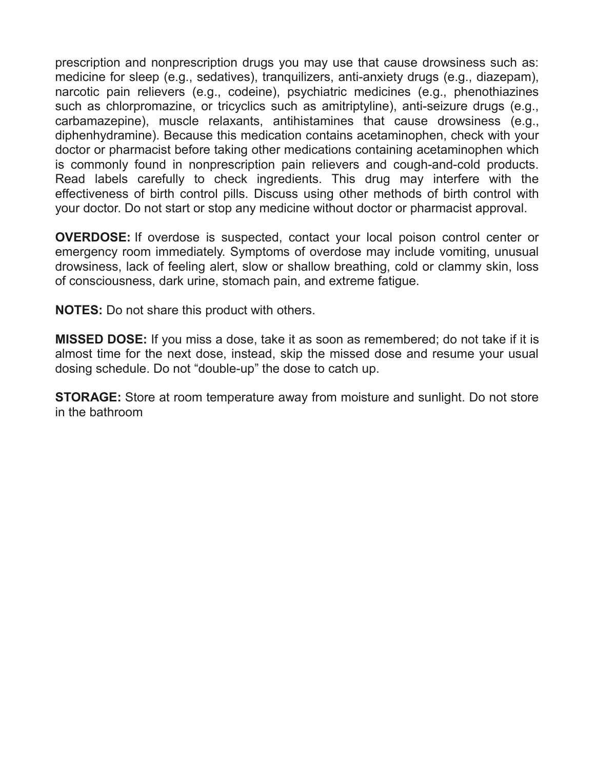prescription and nonprescription drugs you may use that cause drowsiness such as: medicine for sleep (e.g., sedatives), tranquilizers, anti-anxiety drugs (e.g., diazepam), narcotic pain relievers (e.g., codeine), psychiatric medicines (e.g., phenothiazines such as chlorpromazine, or tricyclics such as amitriptyline), anti-seizure drugs (e.g., carbamazepine), muscle relaxants, antihistamines that cause drowsiness (e.g., diphenhydramine). Because this medication contains acetaminophen, check with your doctor or pharmacist before taking other medications containing acetaminophen which is commonly found in nonprescription pain relievers and cough-and-cold products. Read labels carefully to check ingredients. This drug may interfere with the effectiveness of birth control pills. Discuss using other methods of birth control with your doctor. Do not start or stop any medicine without doctor or pharmacist approval.

**OVERDOSE:** If overdose is suspected, contact your local poison control center or emergency room immediately. Symptoms of overdose may include vomiting, unusual drowsiness, lack of feeling alert, slow or shallow breathing, cold or clammy skin, loss of consciousness, dark urine, stomach pain, and extreme fatigue.

**NOTES:** Do not share this product with others.

**MISSED DOSE:** If you miss a dose, take it as soon as remembered; do not take if it is almost time for the next dose, instead, skip the missed dose and resume your usual dosing schedule. Do not "double-up" the dose to catch up.

**STORAGE:** Store at room temperature away from moisture and sunlight. Do not store in the bathroom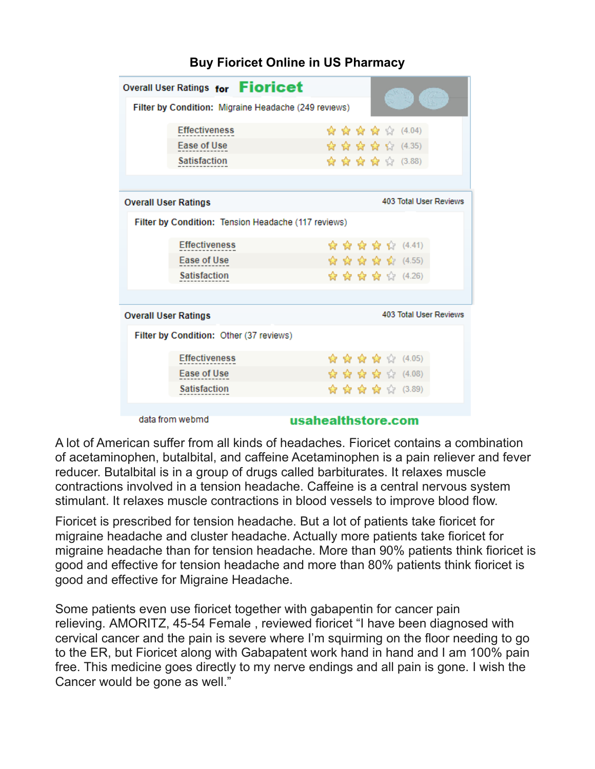| Overall User Ratings for Fioricet                    |                                         |  |  |                        |                        |  | K) |                    |  |
|------------------------------------------------------|-----------------------------------------|--|--|------------------------|------------------------|--|----|--------------------|--|
| Filter by Condition: Migraine Headache (249 reviews) |                                         |  |  |                        |                        |  |    |                    |  |
|                                                      | <b>Effectiveness</b>                    |  |  |                        |                        |  |    | ☆ ☆ ☆ ☆ ☆ (4.04)   |  |
|                                                      | <b>Ease of Use</b>                      |  |  |                        |                        |  |    | ☆☆☆☆☆(4.35)        |  |
|                                                      | <b>Satisfaction</b>                     |  |  |                        |                        |  |    | ☆ ☆ ☆ ☆ ☆ (3.88)   |  |
|                                                      |                                         |  |  |                        |                        |  |    |                    |  |
| <b>Overall User Ratings</b>                          |                                         |  |  | 403 Total User Reviews |                        |  |    |                    |  |
| Filter by Condition: Tension Headache (117 reviews)  |                                         |  |  |                        |                        |  |    |                    |  |
|                                                      | <b>Effectiveness</b>                    |  |  |                        |                        |  |    | ☆ ☆ ☆ ☆ ☆ (4.41)   |  |
|                                                      | Ease of Use                             |  |  |                        |                        |  |    | ☆ ☆ ☆ ☆ ☆ (4.55)   |  |
|                                                      | <b>Satisfaction</b>                     |  |  |                        |                        |  |    | ☆ ☆ ☆ ☆ ☆ (4.26)   |  |
|                                                      |                                         |  |  |                        |                        |  |    |                    |  |
| <b>Overall User Ratings</b>                          |                                         |  |  |                        | 403 Total User Reviews |  |    |                    |  |
|                                                      | Filter by Condition: Other (37 reviews) |  |  |                        |                        |  |    |                    |  |
|                                                      | <b>Effectiveness</b>                    |  |  |                        |                        |  |    | ☆ ☆ ☆ ☆ ☆ (4.05)   |  |
|                                                      | Ease of Use                             |  |  |                        |                        |  |    | ਇੰ ਇੰ ਇੰ ਇੰ (4.08) |  |
|                                                      | <b>Satisfaction</b>                     |  |  |                        |                        |  |    | ☆ ☆ ☆ ☆ ☆ (3.89)   |  |
|                                                      |                                         |  |  |                        |                        |  |    |                    |  |

## **Buy Fioricet Online in US Pharmacy**

data from webmd

#### usahealthstore.com

A lot of American suffer from all kinds of headaches. Fioricet contains a combination of acetaminophen, butalbital, and caffeine Acetaminophen is a pain reliever and fever reducer. Butalbital is in a group of drugs called barbiturates. It relaxes muscle contractions involved in a tension headache. Caffeine is a central nervous system stimulant. It relaxes muscle contractions in blood vessels to improve blood flow.

Fioricet is prescribed for tension headache. But a lot of patients take fioricet for migraine headache and cluster headache. Actually more patients take fioricet for migraine headache than for tension headache. More than 90% patients think fioricet is good and effective for tension headache and more than 80% patients think fioricet is good and effective for Migraine Headache.

Some patients even use fioricet together with gabapentin for cancer pain relieving. AMORITZ, 45-54 Female , reviewed fioricet "I have been diagnosed with cervical cancer and the pain is severe where I'm squirming on the floor needing to go to the ER, but Fioricet along with Gabapatent work hand in hand and I am 100% pain free. This medicine goes directly to my nerve endings and all pain is gone. I wish the Cancer would be gone as well."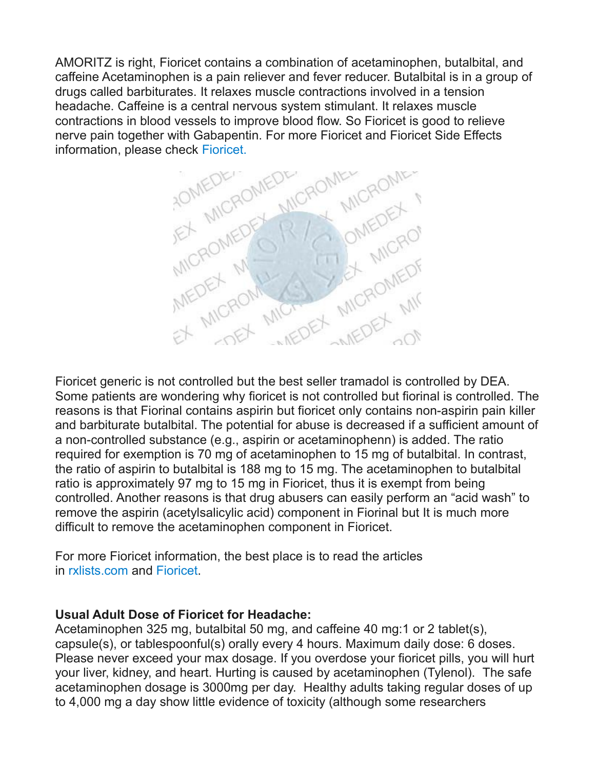AMORITZ is right, Fioricet contains a combination of acetaminophen, butalbital, and caffeine Acetaminophen is a pain reliever and fever reducer. Butalbital is in a group of drugs called barbiturates. It relaxes muscle contractions involved in a tension headache. Caffeine is a central nervous system stimulant. It relaxes muscle contractions in blood vessels to improve blood flow. So Fioricet is good to relieve information, please check [Fioricet.](http://usahealthstore.com/buy-generic-fioricet/)



Fioricet generic is not controlled but the best seller tramadol is controlled by DEA. Some patients are wondering why fioricet is not controlled but fiorinal is controlled. The reasons is that Fiorinal contains aspirin but fioricet only contains non-aspirin pain killer and barbiturate butalbital. The potential for abuse is decreased if a sufficient amount of a non-controlled substance (e.g., aspirin or acetaminophenn) is added. The ratio required for exemption is 70 mg of acetaminophen to 15 mg of butalbital. In contrast, the ratio of aspirin to butalbital is 188 mg to 15 mg. The acetaminophen to butalbital ratio is approximately 97 mg to 15 mg in Fioricet, thus it is exempt from being controlled. Another reasons is that drug abusers can easily perform an "acid wash" to remove the aspirin (acetylsalicylic acid) component in Fiorinal but It is much more difficult to remove the acetaminophen component in Fioricet.

For more Fioricet information, the best place is to read the articles in [rxlists.com](http://www.rxlist.com/fioricet-drug.htm) and [Fioricet.](https://www.drugs.com/fioricet.html)

## **Usual Adult Dose of Fioricet for Headache:**

Acetaminophen 325 mg, butalbital 50 mg, and caffeine 40 mg:1 or 2 tablet(s), capsule(s), or tablespoonful(s) orally every 4 hours. Maximum daily dose: 6 doses. Please never exceed your max dosage. If you overdose your fioricet pills, you will hurt your liver, kidney, and heart. Hurting is caused by acetaminophen (Tylenol). The safe acetaminophen dosage is 3000mg per day. Healthy adults taking regular doses of up to 4,000 mg a day show little evidence of toxicity (although some researchers